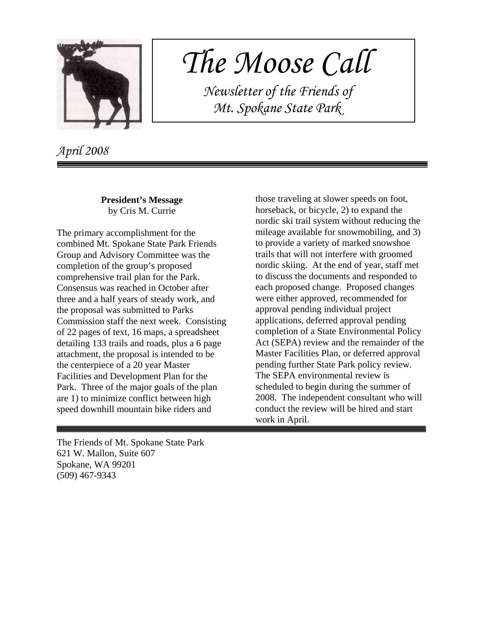

## *The Moose Call*

 *Newsletter of the Friends of Mt. Spokane State Park*

*April 2008*

**President's Message** by Cris M. Currie

The primary accomplishment for the combined Mt. Spokane State Park Friends Group and Advisory Committee was the completion of the group's proposed comprehensive trail plan for the Park. Consensus was reached in October after three and a half years of steady work, and the proposal was submitted to Parks Commission staff the next week. Consisting of 22 pages of text, 16 maps, a spreadsheet detailing 133 trails and roads, plus a 6 page attachment, the proposal is intended to be the centerpiece of a 20 year Master Facilities and Development Plan for the Park. Three of the major goals of the plan are 1) to minimize conflict between high speed downhill mountain bike riders and

those traveling at slower speeds on foot, horseback, or bicycle, 2) to expand the nordic ski trail system without reducing the mileage available for snowmobiling, and 3) to provide a variety of marked snowshoe trails that will not interfere with groomed nordic skiing. At the end of year, staff met to discuss the documents and responded to each proposed change. Proposed changes were either approved, recommended for approval pending individual project applications, deferred approval pending completion of a State Environmental Policy Act (SEPA) review and the remainder of the Master Facilities Plan, or deferred approval pending further State Park policy review. The SEPA environmental review is scheduled to begin during the summer of 2008. The independent consultant who will conduct the review will be hired and start work in April.

The Friends of Mt. Spokane State Park 621 W. Mallon, Suite 607 Spokane, WA 99201 (509) 467-9343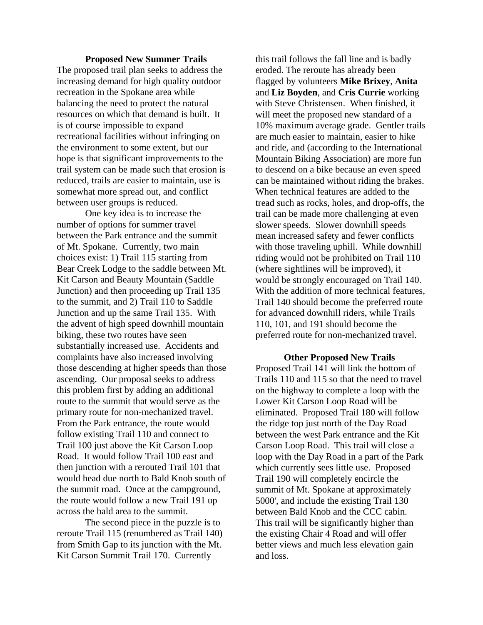## **Proposed New Summer Trails**

The proposed trail plan seeks to address the increasing demand for high quality outdoor recreation in the Spokane area while balancing the need to protect the natural resources on which that demand is built. It is of course impossible to expand recreational facilities without infringing on the environment to some extent, but our hope is that significant improvements to the trail system can be made such that erosion is reduced, trails are easier to maintain, use is somewhat more spread out, and conflict between user groups is reduced.

One key idea is to increase the number of options for summer travel between the Park entrance and the summit of Mt. Spokane. Currently, two main choices exist: 1) Trail 115 starting from Bear Creek Lodge to the saddle between Mt. Kit Carson and Beauty Mountain (Saddle Junction) and then proceeding up Trail 135 to the summit, and 2) Trail 110 to Saddle Junction and up the same Trail 135. With the advent of high speed downhill mountain biking, these two routes have seen substantially increased use. Accidents and complaints have also increased involving those descending at higher speeds than those ascending. Our proposal seeks to address this problem first by adding an additional route to the summit that would serve as the primary route for non-mechanized travel. From the Park entrance, the route would follow existing Trail 110 and connect to Trail 100 just above the Kit Carson Loop Road. It would follow Trail 100 east and then junction with a rerouted Trail 101 that would head due north to Bald Knob south of the summit road. Once at the campground, the route would follow a new Trail 191 up across the bald area to the summit.

The second piece in the puzzle is to reroute Trail 115 (renumbered as Trail 140) from Smith Gap to its junction with the Mt. Kit Carson Summit Trail 170. Currently

this trail follows the fall line and is badly eroded. The reroute has already been flagged by volunteers **Mike Brixey**, **Anita** and **Liz Boyden**, and **Cris Currie** working with Steve Christensen. When finished, it will meet the proposed new standard of a 10% maximum average grade. Gentler trails are much easier to maintain, easier to hike and ride, and (according to the International Mountain Biking Association) are more fun to descend on a bike because an even speed can be maintained without riding the brakes. When technical features are added to the tread such as rocks, holes, and drop-offs, the trail can be made more challenging at even slower speeds. Slower downhill speeds mean increased safety and fewer conflicts with those traveling uphill. While downhill riding would not be prohibited on Trail 110 (where sightlines will be improved), it would be strongly encouraged on Trail 140. With the addition of more technical features, Trail 140 should become the preferred route for advanced downhill riders, while Trails 110, 101, and 191 should become the preferred route for non-mechanized travel.

## **Other Proposed New Trails**

Proposed Trail 141 will link the bottom of Trails 110 and 115 so that the need to travel on the highway to complete a loop with the Lower Kit Carson Loop Road will be eliminated. Proposed Trail 180 will follow the ridge top just north of the Day Road between the west Park entrance and the Kit Carson Loop Road. This trail will close a loop with the Day Road in a part of the Park which currently sees little use. Proposed Trail 190 will completely encircle the summit of Mt. Spokane at approximately 5000', and include the existing Trail 130 between Bald Knob and the CCC cabin. This trail will be significantly higher than the existing Chair 4 Road and will offer better views and much less elevation gain and loss.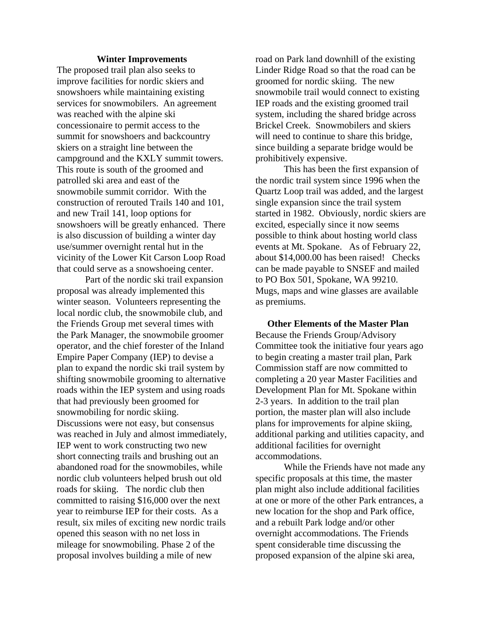## **Winter Improvements**

The proposed trail plan also seeks to improve facilities for nordic skiers and snowshoers while maintaining existing services for snowmobilers. An agreement was reached with the alpine ski concessionaire to permit access to the summit for snowshoers and backcountry skiers on a straight line between the campground and the KXLY summit towers. This route is south of the groomed and patrolled ski area and east of the snowmobile summit corridor. With the construction of rerouted Trails 140 and 101, and new Trail 141, loop options for snowshoers will be greatly enhanced. There is also discussion of building a winter day use/summer overnight rental hut in the vicinity of the Lower Kit Carson Loop Road that could serve as a snowshoeing center.

Part of the nordic ski trail expansion proposal was already implemented this winter season. Volunteers representing the local nordic club, the snowmobile club, and the Friends Group met several times with the Park Manager, the snowmobile groomer operator, and the chief forester of the Inland Empire Paper Company (IEP) to devise a plan to expand the nordic ski trail system by shifting snowmobile grooming to alternative roads within the IEP system and using roads that had previously been groomed for snowmobiling for nordic skiing. Discussions were not easy, but consensus was reached in July and almost immediately, IEP went to work constructing two new short connecting trails and brushing out an abandoned road for the snowmobiles, while nordic club volunteers helped brush out old roads for skiing. The nordic club then committed to raising \$16,000 over the next year to reimburse IEP for their costs. As a result, six miles of exciting new nordic trails opened this season with no net loss in mileage for snowmobiling. Phase 2 of the proposal involves building a mile of new

road on Park land downhill of the existing Linder Ridge Road so that the road can be groomed for nordic skiing. The new snowmobile trail would connect to existing IEP roads and the existing groomed trail system, including the shared bridge across Brickel Creek. Snowmobilers and skiers will need to continue to share this bridge, since building a separate bridge would be prohibitively expensive.

This has been the first expansion of the nordic trail system since 1996 when the Quartz Loop trail was added, and the largest single expansion since the trail system started in 1982. Obviously, nordic skiers are excited, especially since it now seems possible to think about hosting world class events at Mt. Spokane. As of February 22, about \$14,000.00 has been raised! Checks can be made payable to SNSEF and mailed to PO Box 501, Spokane, WA 99210. Mugs, maps and wine glasses are available as premiums.

 **Other Elements of the Master Plan** Because the Friends Group/Advisory Committee took the initiative four years ago to begin creating a master trail plan, Park Commission staff are now committed to completing a 20 year Master Facilities and Development Plan for Mt. Spokane within 2-3 years. In addition to the trail plan portion, the master plan will also include plans for improvements for alpine skiing, additional parking and utilities capacity, and additional facilities for overnight accommodations.

While the Friends have not made any specific proposals at this time, the master plan might also include additional facilities at one or more of the other Park entrances, a new location for the shop and Park office, and a rebuilt Park lodge and/or other overnight accommodations. The Friends spent considerable time discussing the proposed expansion of the alpine ski area,